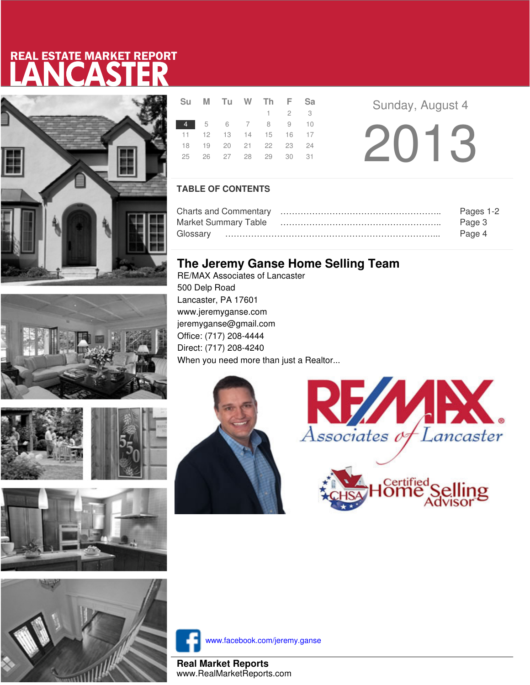# LANCASTER REAL ESTATE MARKET REPORT











|  | Su M Tu W Th F Sa          |  |                     |  |  |
|--|----------------------------|--|---------------------|--|--|
|  |                            |  | $1 \quad 2 \quad 3$ |  |  |
|  | 4 5 6 7 8 9 10             |  |                     |  |  |
|  | 11 12 13 14 15 16 17       |  |                     |  |  |
|  | 18 19 20 21 22 23 24       |  |                     |  |  |
|  | 25  26  27  28  29  30  31 |  |                     |  |  |
|  |                            |  |                     |  |  |

**R Example 2 Sunday, August 4** 2013

### **TABLE OF CONTENTS**

| Pages 1-2 |
|-----------|
| Page 3    |
| Page 4    |

## **The Jeremy Ganse Home Selling Team**

RE/MAX Associates of Lancaster 500 Delp Road Lancaster, PA 17601 www.jeremyganse.com jeremyganse@gmail.com Office: (717) 208-4444 Direct: (717) 208-4240 When you need more than just a Realtor...







www.facebook.com/jeremy.ganse

**Real Market Reports** www.RealMarketReports.com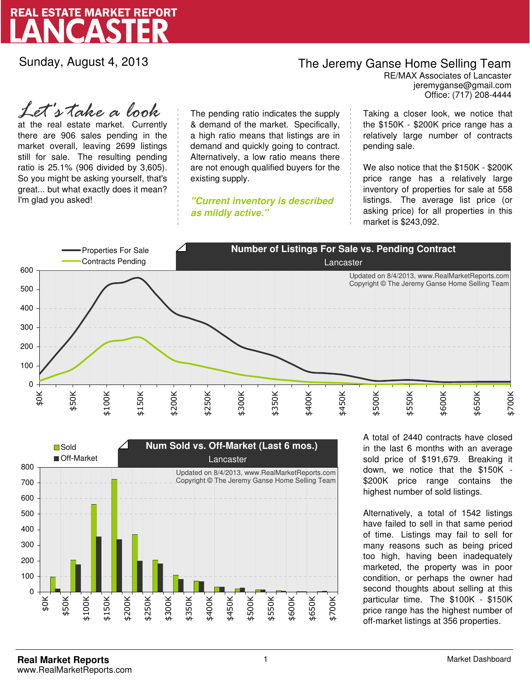

Sunday, August 4, 2013

## The Jeremy Ganse Home Selling Team

jeremyganse@gmail.com RE/MAX Associates of Lancaster Office: (717) 208-4444

at the real estate market. Currently there are 906 sales pending in the market overall, leaving 2699 listings still for sale. The resulting pending ratio is 25.1% (906 divided by 3,605). So you might be asking yourself, that's great... but what exactly does it mean? I'm glad you asked! *Let's take a look*

The pending ratio indicates the supply & demand of the market. Specifically, a high ratio means that listings are in demand and quickly going to contract. Alternatively, a low ratio means there are not enough qualified buyers for the existing supply.

**"Current inventory is described as mildly active."**

Taking a closer look, we notice that the \$150K - \$200K price range has a relatively large number of contracts pending sale.

We also notice that the \$150K - \$200K price range has a relatively large inventory of properties for sale at 558 listings. The average list price (or asking price) for all properties in this market is \$243,092.





A total of 2440 contracts have closed in the last 6 months with an average sold price of \$191,679. Breaking it down, we notice that the \$150K - \$200K price range contains the highest number of sold listings.

Alternatively, a total of 1542 listings have failed to sell in that same period of time. Listings may fail to sell for many reasons such as being priced too high, having been inadequately marketed, the property was in poor condition, or perhaps the owner had second thoughts about selling at this particular time. The \$100K - \$150K price range has the highest number of off-market listings at 356 properties.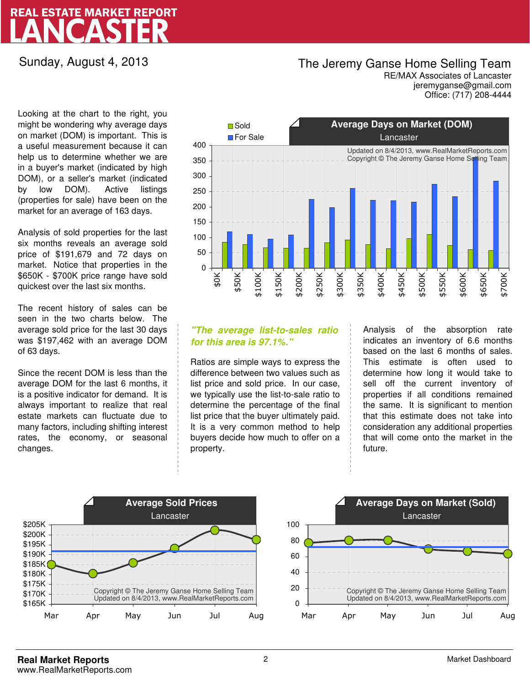# LANCASTER REAL ESTATE MARKET REPORT

Sunday, August 4, 2013

### The Jeremy Ganse Home Selling Team

jeremyganse@gmail.com RE/MAX Associates of Lancaster Office: (717) 208-4444

Looking at the chart to the right, you might be wondering why average days on market (DOM) is important. This is a useful measurement because it can help us to determine whether we are in a buyer's market (indicated by high DOM), or a seller's market (indicated by low DOM). Active listings (properties for sale) have been on the market for an average of 163 days.

Analysis of sold properties for the last six months reveals an average sold price of \$191,679 and 72 days on market. Notice that properties in the \$650K - \$700K price range have sold quickest over the last six months.

The recent history of sales can be seen in the two charts below. The average sold price for the last 30 days was \$197,462 with an average DOM of 63 days.

Since the recent DOM is less than the average DOM for the last 6 months, it is a positive indicator for demand. It is always important to realize that real estate markets can fluctuate due to many factors, including shifting interest rates, the economy, or seasonal changes.



### **"The average list-to-sales ratio for this area is 97.1%."**

Ratios are simple ways to express the difference between two values such as list price and sold price. In our case, we typically use the list-to-sale ratio to determine the percentage of the final list price that the buyer ultimately paid. It is a very common method to help buyers decide how much to offer on a property.

Analysis of the absorption rate indicates an inventory of 6.6 months based on the last 6 months of sales. This estimate is often used to determine how long it would take to sell off the current inventory of properties if all conditions remained the same. It is significant to mention that this estimate does not take into consideration any additional properties that will come onto the market in the future.



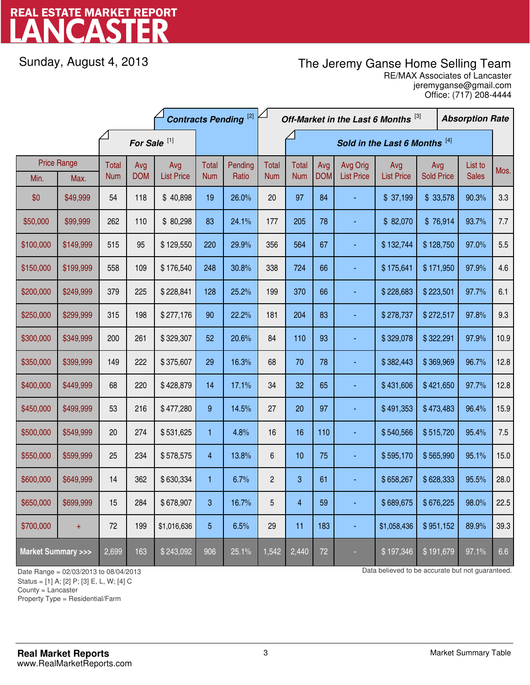# LANCASTER REAL ESTATE MARKET REPORT

Sunday, August 4, 2013

## The Jeremy Ganse Home Selling Team

jeremyganse@gmail.com RE/MAX Associates of Lancaster Office: (717) 208-4444

|                                    | <b>Contracts Pending [2]</b> |            |                         |                   | Off-Market in the Last 6 Months [3] |         |                |                               |            |                   | <b>Absorption Rate</b> |                   |  |              |      |
|------------------------------------|------------------------------|------------|-------------------------|-------------------|-------------------------------------|---------|----------------|-------------------------------|------------|-------------------|------------------------|-------------------|--|--------------|------|
|                                    |                              |            | For Sale <sup>[1]</sup> |                   |                                     |         |                | Sold in the Last 6 Months [4] |            |                   |                        |                   |  |              |      |
|                                    | <b>Price Range</b>           | Total      | Avg                     | Avg               | Total                               | Pending | <b>Total</b>   | Total                         | Avg        | Avg Orig          | Avg                    | Avg               |  | List to      | Mos. |
| Min.                               | Max.                         | <b>Num</b> | <b>DOM</b>              | <b>List Price</b> | <b>Num</b>                          | Ratio   | <b>Num</b>     | <b>Num</b>                    | <b>DOM</b> | <b>List Price</b> | <b>List Price</b>      | <b>Sold Price</b> |  | <b>Sales</b> |      |
| \$0                                | \$49,999                     | 54         | 118                     | \$40,898          | 19                                  | 26.0%   | 20             | 97                            | 84         |                   | \$37,199               | \$33,578          |  | 90.3%        | 3.3  |
| \$50,000                           | \$99,999                     | 262        | 110                     | \$80,298          | 83                                  | 24.1%   | 177            | 205                           | 78         |                   | \$82,070               | \$76,914          |  | 93.7%        | 7.7  |
| \$100,000                          | \$149,999                    | 515        | 95                      | \$129,550         | 220                                 | 29.9%   | 356            | 564                           | 67         |                   | \$132,744              | \$128,750         |  | 97.0%        | 5.5  |
| \$150,000                          | \$199,999                    | 558        | 109                     | \$176,540         | 248                                 | 30.8%   | 338            | 724                           | 66         |                   | \$175,641              | \$171,950         |  | 97.9%        | 4.6  |
| \$200,000                          | \$249,999                    | 379        | 225                     | \$228,841         | 128                                 | 25.2%   | 199            | 370                           | 66         |                   | \$228,683              | \$223,501         |  | 97.7%        | 6.1  |
| \$250,000                          | \$299,999                    | 315        | 198                     | \$277,176         | 90                                  | 22.2%   | 181            | 204                           | 83         |                   | \$278,737              | \$272,517         |  | 97.8%        | 9.3  |
| \$300,000                          | \$349,999                    | 200        | 261                     | \$329,307         | 52                                  | 20.6%   | 84             | 110                           | 93         |                   | \$329,078              | \$322,291         |  | 97.9%        | 10.9 |
| \$350,000                          | \$399,999                    | 149        | 222                     | \$375,607         | 29                                  | 16.3%   | 68             | 70                            | 78         |                   | \$382,443              | \$369,969         |  | 96.7%        | 12.8 |
| \$400,000                          | \$449,999                    | 68         | 220                     | \$428,879         | 14                                  | 17.1%   | 34             | 32                            | 65         |                   | \$431,606              | \$421,650         |  | 97.7%        | 12.8 |
| \$450,000                          | \$499,999                    | 53         | 216                     | \$477,280         | 9                                   | 14.5%   | 27             | 20                            | 97         |                   | \$491,353              | \$473,483         |  | 96.4%        | 15.9 |
| \$500,000                          | \$549,999                    | 20         | 274                     | \$531,625         | 1                                   | 4.8%    | 16             | 16                            | 110        |                   | \$540,566              | \$515,720         |  | 95.4%        | 7.5  |
| \$550,000                          | \$599,999                    | 25         | 234                     | \$578,575         | $\overline{4}$                      | 13.8%   | 6              | 10                            | 75         |                   | \$595,170              | \$565,990         |  | 95.1%        | 15.0 |
| \$600,000                          | \$649,999                    | 14         | 362                     | \$630,334         | 1                                   | 6.7%    | $\overline{c}$ | $\sqrt{3}$                    | 61         |                   | \$658,267              | \$628,333         |  | 95.5%        | 28.0 |
| \$650,000                          | \$699,999                    | 15         | 284                     | \$678,907         | 3                                   | 16.7%   | 5              | $\overline{\mathbf{4}}$       | 59         |                   | \$689,675              | \$676,225         |  | 98.0%        | 22.5 |
| \$700,000                          | $+$                          | 72         | 199                     | \$1,016,636       | 5                                   | 6.5%    | 29             | 11                            | 183        |                   | \$1,058,436            | \$951,152         |  | 89.9%        | 39.3 |
| <b>Market Summary &gt;&gt;&gt;</b> |                              | 2,699      | 163                     | \$243,092         | 906                                 | 25.1%   | 1,542          | 2,440                         | $72\,$     |                   | \$197,346              | \$191,679         |  | 97.1%        | 6.6  |

Status = [1] A; [2] P; [3] E, L, W; [4] C

County = Lancaster

-

Property Type = Residential/Farm

Date Range = 02/03/2013 to 08/04/2013 Data believed to be accurate but not guaranteed.